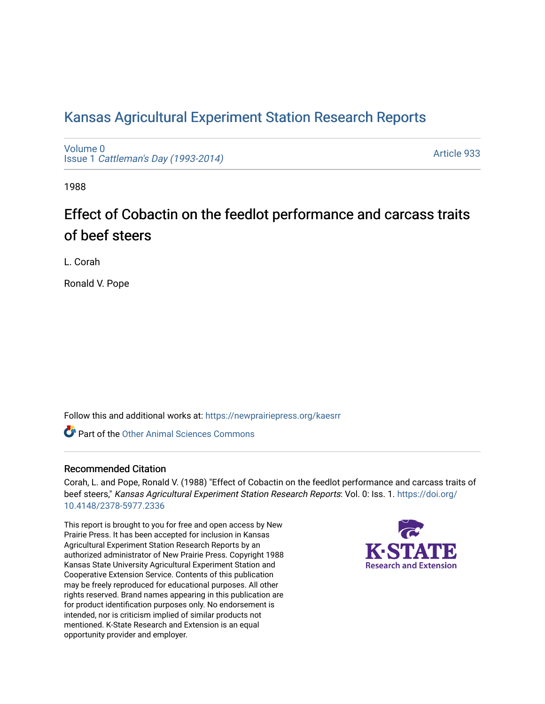## [Kansas Agricultural Experiment Station Research Reports](https://newprairiepress.org/kaesrr)

[Volume 0](https://newprairiepress.org/kaesrr/vol0) Issue 1 [Cattleman's Day \(1993-2014\)](https://newprairiepress.org/kaesrr/vol0/iss1) 

[Article 933](https://newprairiepress.org/kaesrr/vol0/iss1/933) 

1988

# Effect of Cobactin on the feedlot performance and carcass traits of beef steers

L. Corah

Ronald V. Pope

Follow this and additional works at: [https://newprairiepress.org/kaesrr](https://newprairiepress.org/kaesrr?utm_source=newprairiepress.org%2Fkaesrr%2Fvol0%2Fiss1%2F933&utm_medium=PDF&utm_campaign=PDFCoverPages) 

**C** Part of the [Other Animal Sciences Commons](http://network.bepress.com/hgg/discipline/82?utm_source=newprairiepress.org%2Fkaesrr%2Fvol0%2Fiss1%2F933&utm_medium=PDF&utm_campaign=PDFCoverPages)

#### Recommended Citation

Corah, L. and Pope, Ronald V. (1988) "Effect of Cobactin on the feedlot performance and carcass traits of beef steers," Kansas Agricultural Experiment Station Research Reports: Vol. 0: Iss. 1. [https://doi.org/](https://doi.org/10.4148/2378-5977.2336) [10.4148/2378-5977.2336](https://doi.org/10.4148/2378-5977.2336)

This report is brought to you for free and open access by New Prairie Press. It has been accepted for inclusion in Kansas Agricultural Experiment Station Research Reports by an authorized administrator of New Prairie Press. Copyright 1988 Kansas State University Agricultural Experiment Station and Cooperative Extension Service. Contents of this publication may be freely reproduced for educational purposes. All other rights reserved. Brand names appearing in this publication are for product identification purposes only. No endorsement is intended, nor is criticism implied of similar products not mentioned. K-State Research and Extension is an equal opportunity provider and employer.

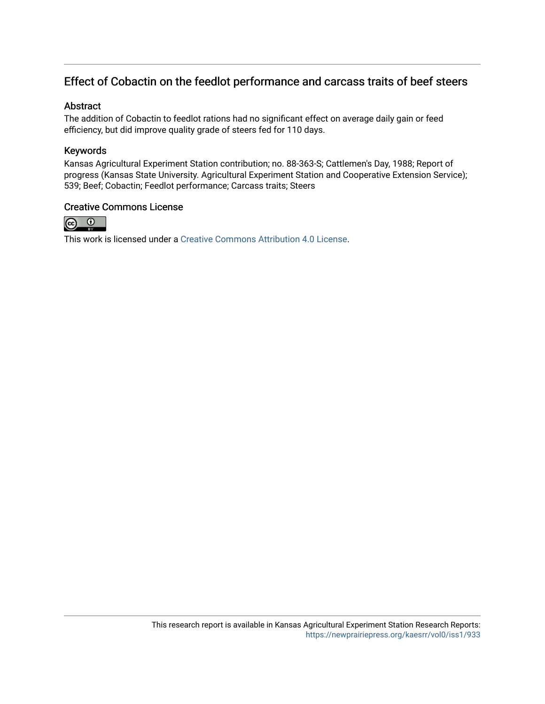### Effect of Cobactin on the feedlot performance and carcass traits of beef steers

#### Abstract

The addition of Cobactin to feedlot rations had no significant effect on average daily gain or feed efficiency, but did improve quality grade of steers fed for 110 days.

#### Keywords

Kansas Agricultural Experiment Station contribution; no. 88-363-S; Cattlemen's Day, 1988; Report of progress (Kansas State University. Agricultural Experiment Station and Cooperative Extension Service); 539; Beef; Cobactin; Feedlot performance; Carcass traits; Steers

#### Creative Commons License



This work is licensed under a [Creative Commons Attribution 4.0 License](https://creativecommons.org/licenses/by/4.0/).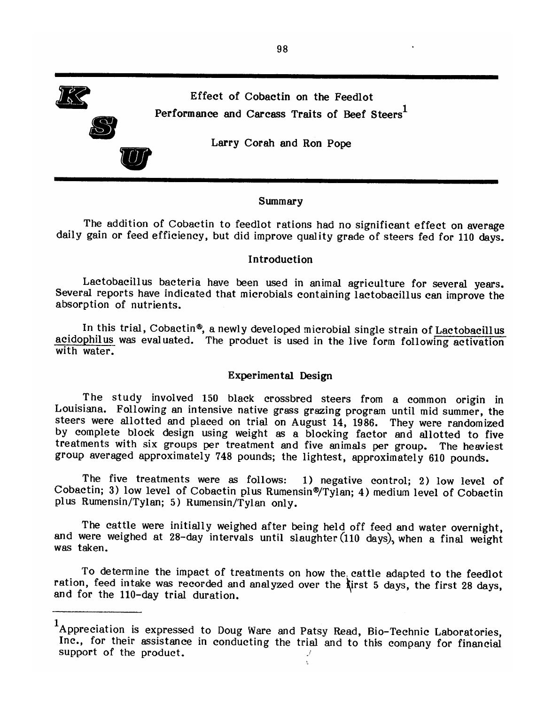Effect of Cobactin on the Feedlot Performance and Carcass Traits of Beef Steers<sup>1</sup>

Larry Corah and Ron Pope

#### Summary

The addition of Cobactin to feedlot rations had no significant effect on average daily gain or feed efficiency, but did improve quality grade of steers fed for 110 days.

#### Introduction

Lactobacillus bacteria have been used in animal agriculture for several years. Several reports have indicated that microbials containing lactobacillus can improve the absorption of nutrients.

In this trial, Cobactin®, a newly developed microbial single strain of Lactobacillus acidophilus was evaluated. The product is used in the live form following activation with water.

#### Experimental Design

The study involved 150 black crossbred steers from a common origin in Louisiana. Following an intensive native grass grazing program until mid summer, the steers were allotted and placed on trial on August 14, 1986. They were randomized by complete block design using weight as a blocking factor and allotted to five treatments with six groups per treatment and five animals per group. The heaviest group averaged approximately 748 pounds; the lightest, approximately 610 pounds.

The five treatments were as follows: 1) negative control; 2) low level of Cobactin; 3) low level of Cobactin plus Rumensin®/Tylan; 4) medium level of Cobactin plus Rumensin/Tylan; 5) Rumensin/Tylan only.

The cattle were initially weighed after being held off feed and water overnight, and were weighed at 28-day intervals until slaughter (110 days), when a final weight was taken.

To determine the impact of treatments on how the cattle adapted to the feedlot ration, feed intake was recorded and analyzed over the *first* 5 days, the first 28 days, and for the 110-day trial duration.



<sup>&</sup>lt;sup>1</sup>Appreciation is expressed to Doug Ware and Patsy Read, Bio-Technic Laboratories, Inc., for their assistance in conducting the trial and to this company for financial support of the product.  $\mathcal{J}$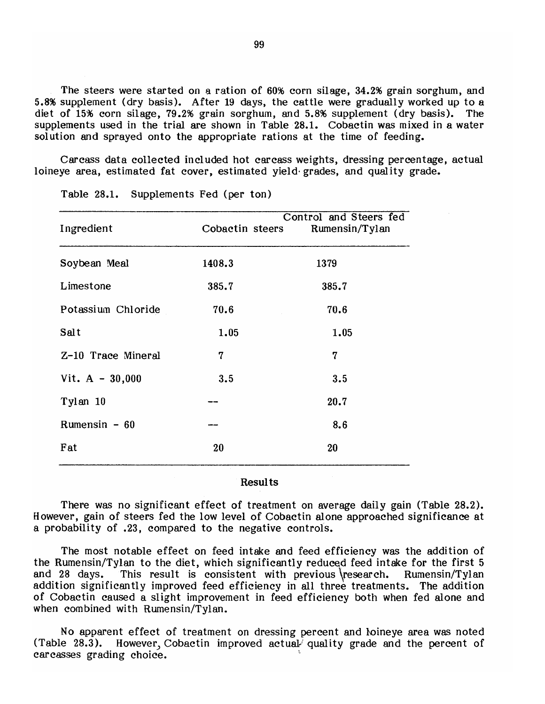The steers were started on a ration of 60% corn silage, 34.2% grain sorghum, and 5.8% supplement (dry basis). After 19 days, the cattle were gradually worked up to a diet of 15% corn silage, 79.2% grain sorghum, and 5.8% supplement (dry basis). The supplements used in the trial are shown in Table 28.1. Cobactin was mixed in a water solution and sprayed onto the appropriate rations at the time of feeding.

Carcass data collected included hot carcass weights, dressing percentage, actual loineye area, estimated fat cover, estimated yield grades, and quality grade.

| 1379  |
|-------|
|       |
| 385.7 |
| 70.6  |
| 1.05  |
| 7     |
| 3.5   |
| 20.7  |
| 8.6   |
| 20    |
|       |

Table 28.1. Supplements Fed (per ton)

#### **Results**

There was no significant effect of treatment on average daily gain (Table 28.2). However, gain of steers fed the low level of Cobactin alone approached significance at a probability of .23, compared to the negative controls.

The most notable effect on feed intake and feed efficiency was the addition of the Rumensin/Tylan to the diet, which significantly reduced feed intake for the first 5 and 28 days. This result is consistent with previous research. Rumensin/Tylan addition significantly improved feed efficiency in all three treatments. The addition of Cobactin caused a slight improvement in feed efficiency both when fed alone and when combined with Rumensin/Tylan.

No apparent effect of treatment on dressing percent and loineye area was noted  $(Table 28.3).$ However, Cobactin improved actual quality grade and the percent of carcasses grading choice.